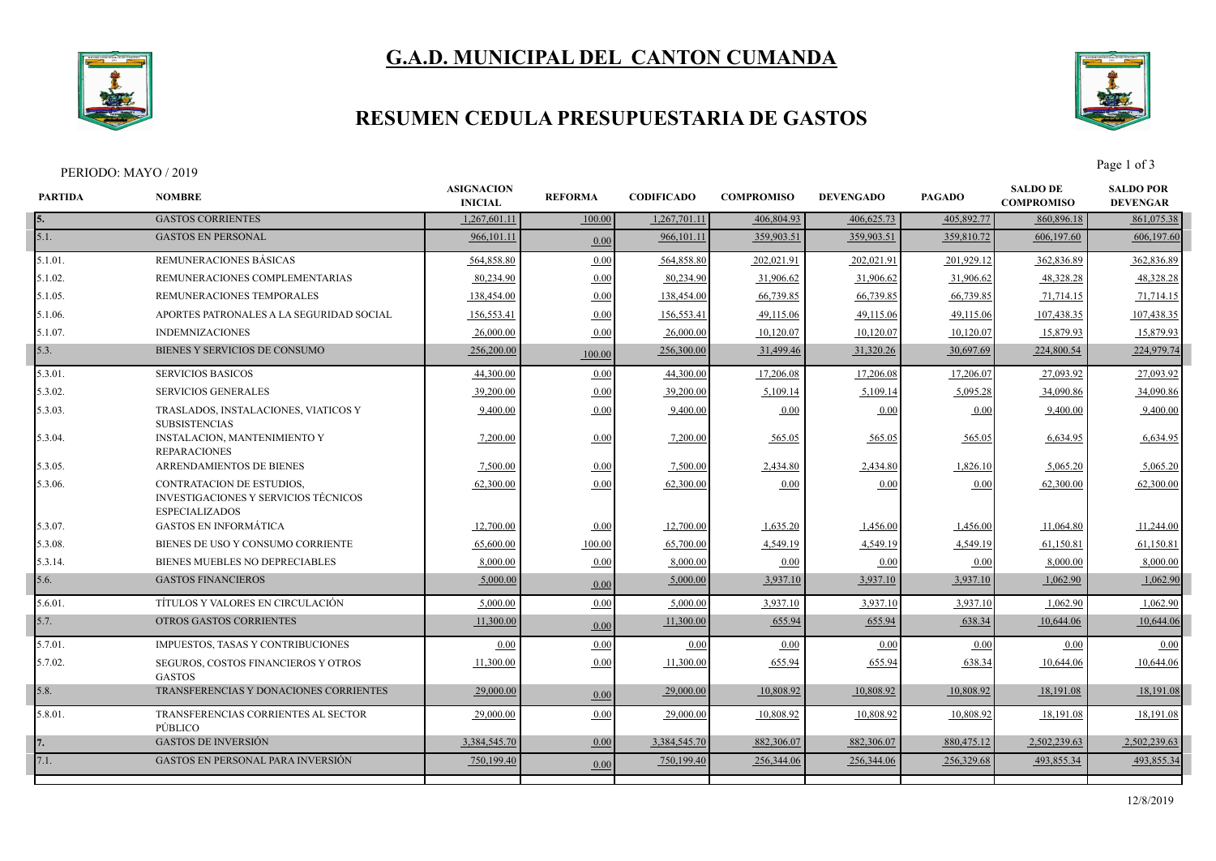

# **G.A.D. MUNICIPAL DEL CANTON CUMANDA**

## **RESUMEN CEDULA PRESUPUESTARIA DE GASTOS**



PERIODO: MAYO / 2019 Page 1 of 3

| <b>PARTIDA</b> | <b>NOMBRE</b>                                                                                     | <b>ASIGNACION</b><br><b>INICIAL</b> | <b>REFORMA</b> | <b>CODIFICADO</b> | <b>COMPROMISO</b> | <b>DEVENGADO</b> | <b>PAGADO</b> | <b>SALDO DE</b><br><b>COMPROMISO</b> | <b>SALDO POR</b><br><b>DEVENGAR</b> |
|----------------|---------------------------------------------------------------------------------------------------|-------------------------------------|----------------|-------------------|-------------------|------------------|---------------|--------------------------------------|-------------------------------------|
|                | <b>GASTOS CORRIENTES</b>                                                                          | 1,267,601.11                        | 100.00         | 1,267,701.11      | 406,804.93        | 406,625.73       | 405,892.77    | 860,896.18                           | 861,075.38                          |
| 5.1.           | <b>GASTOS EN PERSONAL</b>                                                                         | 966,101.11                          | 0.00           | 966,101.11        | 359,903.51        | 359,903.51       | 359,810.72    | 606,197.60                           | 606,197.60                          |
| $5.1.01$ .     | REMUNERACIONES BÁSICAS                                                                            | 564,858.80                          | 0.00           | 564,858.80        | 202,021.91        | 202,021.91       | 201,929.12    | 362,836.89                           | 362,836.89                          |
| 5.1.02.        | REMUNERACIONES COMPLEMENTARIAS                                                                    | 80,234.90                           | 0.00           | 80,234.90         | 31,906.62         | 31,906.62        | 31,906.62     | 48,328.28                            | 48,328.28                           |
| 5.1.05.        | REMUNERACIONES TEMPORALES                                                                         | 138,454.00                          | 0.00           | 138,454.00        | 66,739.85         | 66,739.85        | 66,739.85     | 71,714.15                            | 71,714.15                           |
| 5.1.06.        | APORTES PATRONALES A LA SEGURIDAD SOCIAL                                                          | 156,553.41                          | 0.00           | 156,553.41        | 49,115.06         | 49,115.06        | 49,115.06     | 107,438.35                           | 107,438.35                          |
| 5.1.07.        | <b>INDEMNIZACIONES</b>                                                                            | 26,000.00                           | 0.00           | 26,000.00         | 10,120.07         | 10,120.07        | 10,120.07     | 15,879.93                            | 15,879.93                           |
| 5.3.           | BIENES Y SERVICIOS DE CONSUMO                                                                     | 256,200.00                          | 100.00         | 256,300.00        | 31,499.46         | 31,320.26        | 30,697.69     | 224,800.54                           | 224,979.74                          |
| 5.3.01.        | <b>SERVICIOS BASICOS</b>                                                                          | 44,300.00                           | 0.00           | 44,300.00         | 17,206.08         | 17,206.08        | 17,206.07     | 27,093.92                            | 27,093.92                           |
| 5.3.02.        | <b>SERVICIOS GENERALES</b>                                                                        | 39,200.00                           | 0.00           | 39,200.00         | 5,109.14          | 5,109.14         | 5,095.28      | 34,090.86                            | 34,090.86                           |
| 5.3.03.        | TRASLADOS, INSTALACIONES, VIATICOS Y<br><b>SUBSISTENCIAS</b>                                      | 9,400.00                            | 0.00           | 9,400.00          | 0.00              | 0.00             | 0.00          | 9,400.00                             | 9,400.00                            |
| 5.3.04.        | INSTALACION, MANTENIMIENTO Y<br><b>REPARACIONES</b>                                               | 7,200.00                            | 0.00           | 7,200.00          | 565.05            | 565.05           | 565.05        | 6,634.95                             | 6,634.95                            |
| 5.3.05.        | ARRENDAMIENTOS DE BIENES                                                                          | 7,500.00                            | 0.00           | 7,500.00          | 2,434.80          | 2,434.80         | 1,826.10      | 5,065.20                             | 5,065.20                            |
| 5.3.06.        | <b>CONTRATACION DE ESTUDIOS.</b><br>INVESTIGACIONES Y SERVICIOS TÉCNICOS<br><b>ESPECIALIZADOS</b> | 62,300.00                           | 0.00           | 62,300.00         | 0.00              | 0.00             | 0.00          | 62,300.00                            | 62,300.00                           |
| 5.3.07.        | <b>GASTOS EN INFORMÁTICA</b>                                                                      | 12,700.00                           | 0.00           | 12,700.00         | 1,635.20          | 1,456.00         | 1,456.00      | 11,064.80                            | 11,244.00                           |
| 5.3.08.        | BIENES DE USO Y CONSUMO CORRIENTE                                                                 | 65,600.00                           | 100.00         | 65,700.00         | 4,549.19          | 4,549.19         | 4,549.19      | 61,150.81                            | 61,150.81                           |
| 5.3.14.        | BIENES MUEBLES NO DEPRECIABLES                                                                    | 8.000.00                            | 0.00           | 8,000.00          | 0.00              | 0.00             | 0.00          | 8.000.00                             | 8,000.00                            |
| 5.6.           | <b>GASTOS FINANCIEROS</b>                                                                         | 5,000.00                            | 0.00           | 5,000.00          | 3,937.10          | 3,937.10         | 3,937.10      | 1,062.90                             | 1,062.90                            |
| 5.6.01.        | TÍTULOS Y VALORES EN CIRCULACIÓN                                                                  | 5,000.00                            | 0.00           | 5,000.00          | 3,937.10          | 3,937.10         | 3,937.10      | 1,062.90                             | 1,062.90                            |
| 5.7.           | OTROS GASTOS CORRIENTES                                                                           | 11,300.00                           | 0.00           | 11,300.00         | 655.94            | 655.94           | 638.34        | 10,644.06                            | 10,644.06                           |
| 5.7.01.        | IMPUESTOS, TASAS Y CONTRIBUCIONES                                                                 | 0.00                                | 0.00           | 0.00              | 0.00              | 0.00             | 0.00          | 0.00                                 | 0.00                                |
| 5.7.02.        | SEGUROS, COSTOS FINANCIEROS Y OTROS<br><b>GASTOS</b>                                              | 11,300.00                           | 0.00           | 11,300.00         | 655.94            | 655.94           | 638.34        | 10,644.06                            | 10,644.06                           |
| 5.8.           | TRANSFERENCIAS Y DONACIONES CORRIENTES                                                            | 29,000.00                           | 0.00           | 29,000.00         | 10,808.92         | 10,808.92        | 10,808.92     | 18,191.08                            | 18,191.08                           |
| 5.8.01.        | TRANSFERENCIAS CORRIENTES AL SECTOR<br>PÚBLICO                                                    | 29,000.00                           | 0.00           | 29,000.00         | 10,808.92         | 10,808.92        | 10,808.92     | 18,191.08                            | 18,191.08                           |
|                | <b>GASTOS DE INVERSIÓN</b>                                                                        | 3,384,545.70                        | 0.00           | 3.384,545.70      | 882,306.07        | 882,306.07       | 880,475.12    | 2,502,239.63                         | 2,502,239.63                        |
| 7.1.           | <b>GASTOS EN PERSONAL PARA INVERSIÓN</b>                                                          | 750,199.40                          | 0.00           | 750,199.40        | 256,344.06        | 256,344.06       | 256,329.68    | 493,855.34                           | 493,855.34                          |
|                |                                                                                                   |                                     |                |                   |                   |                  |               |                                      |                                     |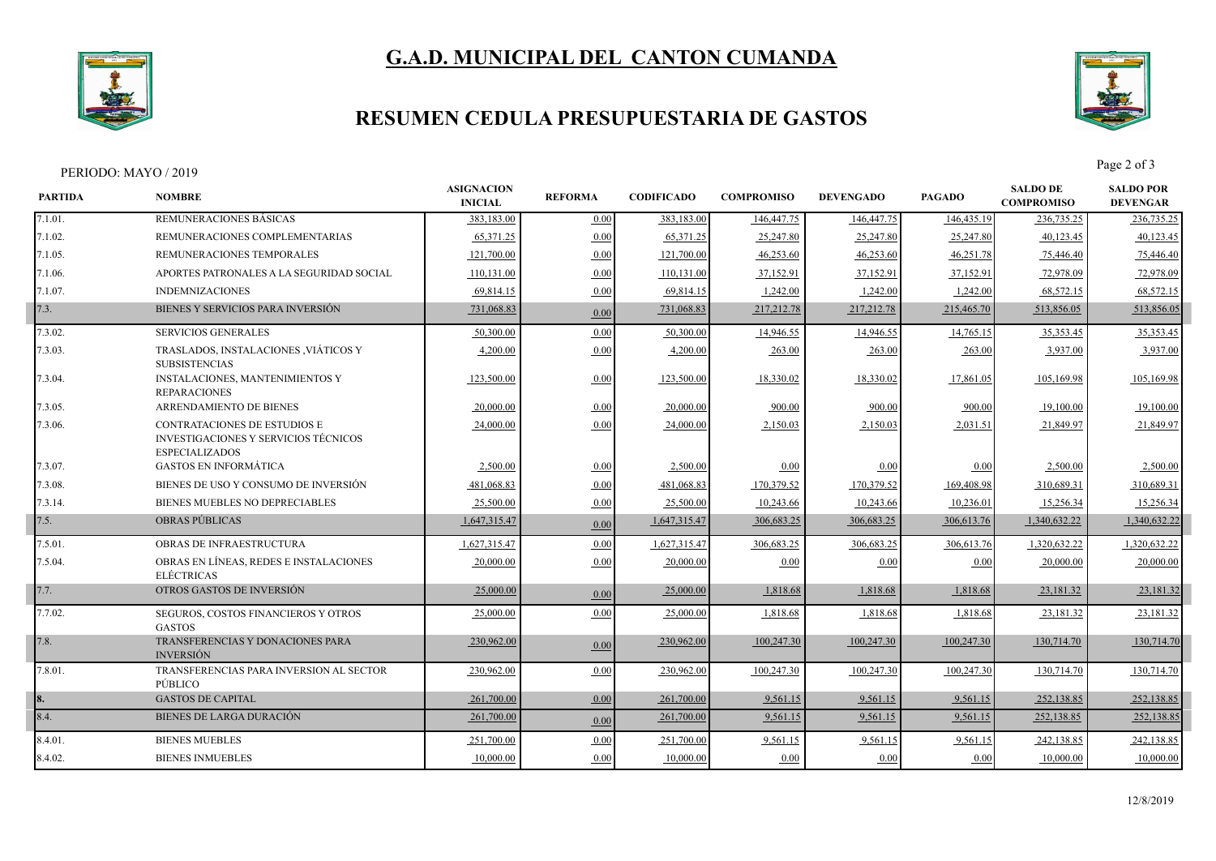

# **G.A.D. MUNICIPAL DEL CANTON CUMANDA**

### **RESUMEN CEDULA PRESUPUESTARIA DE GASTOS**



PERIODO: MAYO / 2019 Page 2 of 3

| REMUNERACIONES BÁSICAS<br>7.1.01.<br>383,183.00<br>383,183.00<br>146,447.75<br>146,447.75<br>236,735.25<br>0.00<br>146,435.19<br>65,371.25<br>7.1.02.<br>REMUNERACIONES COMPLEMENTARIAS<br>0.00<br>65,371.25<br>25,247.80<br>25,247.80<br>25,247.80<br>40,123.45<br>REMUNERACIONES TEMPORALES<br>121,700.00<br>121,700.00<br>46,253.60<br>46,253.60<br>46,251.78<br>7.1.05.<br>0.00<br>75,446.40<br>110,131.00<br>37,152.91<br>7.1.06.<br>APORTES PATRONALES A LA SEGURIDAD SOCIAL<br>0.00<br>110,131.00<br>37,152.91<br>37,152.91<br>72,978.09<br>69,814.15<br>0.00<br>1,242.00<br>68,572.15<br>7.1.07.<br><b>INDEMNIZACIONES</b><br>69,814.15<br>1,242.00<br>1,242.00<br>7.3.<br>BIENES Y SERVICIOS PARA INVERSIÓN<br>217,212.78<br>731,068.83<br>731,068.83<br>217,212.78<br>215,465.70<br>513,856.05<br>0.00<br>7.3.02.<br><b>SERVICIOS GENERALES</b><br>50,300.00<br>0.00<br>50,300.00<br>14,946.55<br>14,946.55<br>14,765.15<br>35, 353. 45<br>TRASLADOS, INSTALACIONES , VIÁTICOS Y<br>7.3.03.<br>4,200.00<br>0.00<br>4,200.00<br>263.00<br>263.00<br>263.00<br>3,937.00<br><b>SUBSISTENCIAS</b><br><b>INSTALACIONES, MANTENIMIENTOS Y</b><br>123,500.00<br>18,330.02<br>18,330.02<br>7.3.04.<br>0.00<br>123,500.00<br>17,861.05<br>105,169.98 | 236,735.25<br>40,123.45<br>75,446.40<br>72,978.09<br>68,572.15<br>513,856.05<br>35,353.45<br>3,937.00<br>105,169.98 |
|-------------------------------------------------------------------------------------------------------------------------------------------------------------------------------------------------------------------------------------------------------------------------------------------------------------------------------------------------------------------------------------------------------------------------------------------------------------------------------------------------------------------------------------------------------------------------------------------------------------------------------------------------------------------------------------------------------------------------------------------------------------------------------------------------------------------------------------------------------------------------------------------------------------------------------------------------------------------------------------------------------------------------------------------------------------------------------------------------------------------------------------------------------------------------------------------------------------------------------------------------------|---------------------------------------------------------------------------------------------------------------------|
|                                                                                                                                                                                                                                                                                                                                                                                                                                                                                                                                                                                                                                                                                                                                                                                                                                                                                                                                                                                                                                                                                                                                                                                                                                                       |                                                                                                                     |
|                                                                                                                                                                                                                                                                                                                                                                                                                                                                                                                                                                                                                                                                                                                                                                                                                                                                                                                                                                                                                                                                                                                                                                                                                                                       |                                                                                                                     |
|                                                                                                                                                                                                                                                                                                                                                                                                                                                                                                                                                                                                                                                                                                                                                                                                                                                                                                                                                                                                                                                                                                                                                                                                                                                       |                                                                                                                     |
|                                                                                                                                                                                                                                                                                                                                                                                                                                                                                                                                                                                                                                                                                                                                                                                                                                                                                                                                                                                                                                                                                                                                                                                                                                                       |                                                                                                                     |
|                                                                                                                                                                                                                                                                                                                                                                                                                                                                                                                                                                                                                                                                                                                                                                                                                                                                                                                                                                                                                                                                                                                                                                                                                                                       |                                                                                                                     |
|                                                                                                                                                                                                                                                                                                                                                                                                                                                                                                                                                                                                                                                                                                                                                                                                                                                                                                                                                                                                                                                                                                                                                                                                                                                       |                                                                                                                     |
|                                                                                                                                                                                                                                                                                                                                                                                                                                                                                                                                                                                                                                                                                                                                                                                                                                                                                                                                                                                                                                                                                                                                                                                                                                                       |                                                                                                                     |
|                                                                                                                                                                                                                                                                                                                                                                                                                                                                                                                                                                                                                                                                                                                                                                                                                                                                                                                                                                                                                                                                                                                                                                                                                                                       |                                                                                                                     |
| <b>REPARACIONES</b>                                                                                                                                                                                                                                                                                                                                                                                                                                                                                                                                                                                                                                                                                                                                                                                                                                                                                                                                                                                                                                                                                                                                                                                                                                   |                                                                                                                     |
| 20,000.00<br>ARRENDAMIENTO DE BIENES<br>20,000.00<br>900.00<br>900.00<br>900.00<br>19,100.00<br> 7.3.05.<br>0.00                                                                                                                                                                                                                                                                                                                                                                                                                                                                                                                                                                                                                                                                                                                                                                                                                                                                                                                                                                                                                                                                                                                                      | 19,100.00                                                                                                           |
| CONTRATACIONES DE ESTUDIOS E<br>7.3.06.<br>24,000.00<br>0.00<br>2,150.03<br>24,000.00<br>2,150.03<br>2,031.51<br>21,849.97<br><b>INVESTIGACIONES Y SERVICIOS TÉCNICOS</b><br><b>ESPECIALIZADOS</b>                                                                                                                                                                                                                                                                                                                                                                                                                                                                                                                                                                                                                                                                                                                                                                                                                                                                                                                                                                                                                                                    | 21,849.97                                                                                                           |
| <b>GASTOS EN INFORMÁTICA</b><br>2,500.00<br>2,500.00<br>2,500.00<br>7.3.07.<br>0.00<br>0.00<br>0.00<br>0.00                                                                                                                                                                                                                                                                                                                                                                                                                                                                                                                                                                                                                                                                                                                                                                                                                                                                                                                                                                                                                                                                                                                                           | 2.500.00                                                                                                            |
| BIENES DE USO Y CONSUMO DE INVERSIÓN<br>481,068.83<br>170,379.52<br>170,379.52<br>7.3.08.<br>0.00<br>481,068.83<br>169,408.98<br>310,689.31                                                                                                                                                                                                                                                                                                                                                                                                                                                                                                                                                                                                                                                                                                                                                                                                                                                                                                                                                                                                                                                                                                           | 310,689.31                                                                                                          |
| BIENES MUEBLES NO DEPRECIABLES<br>25,500.00<br>0.00<br>10,243.66<br>10,243.66<br>10,236.01<br>7.3.14.<br>25,500.00<br>15,256.34                                                                                                                                                                                                                                                                                                                                                                                                                                                                                                                                                                                                                                                                                                                                                                                                                                                                                                                                                                                                                                                                                                                       | 15,256.34                                                                                                           |
| 7.5.<br><b>OBRAS PÚBLICAS</b><br>306,683.25<br>1,647,315.47<br>1,647,315.47<br>306,683.25<br>306,613.76<br>1,340,632.22<br>0.00                                                                                                                                                                                                                                                                                                                                                                                                                                                                                                                                                                                                                                                                                                                                                                                                                                                                                                                                                                                                                                                                                                                       | 1,340,632.22                                                                                                        |
| OBRAS DE INFRAESTRUCTURA<br>1,627,315.47<br>0.00<br>1,627,315.47<br>306,683.25<br>306,683.25<br>1,320,632.22<br>7.5.01.<br>306,613.76                                                                                                                                                                                                                                                                                                                                                                                                                                                                                                                                                                                                                                                                                                                                                                                                                                                                                                                                                                                                                                                                                                                 | 1,320,632.22                                                                                                        |
| 7.5.04.<br>OBRAS EN LÍNEAS, REDES E INSTALACIONES<br>20,000.00<br>0.00<br>20,000.00<br>0.00<br>20,000.00<br>0.00<br>0.00<br><b>ELÉCTRICAS</b>                                                                                                                                                                                                                                                                                                                                                                                                                                                                                                                                                                                                                                                                                                                                                                                                                                                                                                                                                                                                                                                                                                         | 20,000.0                                                                                                            |
| OTROS GASTOS DE INVERSIÓN<br>25,000.00<br>7.7.<br>25,000.00<br>1,818.68<br>1,818.68<br>1,818.68<br>23,181.32<br>0.00                                                                                                                                                                                                                                                                                                                                                                                                                                                                                                                                                                                                                                                                                                                                                                                                                                                                                                                                                                                                                                                                                                                                  | 23,181.32                                                                                                           |
| 0.00<br>7.7.02.<br>SEGUROS, COSTOS FINANCIEROS Y OTROS<br>25,000.00<br>25,000.00<br>1,818.68<br>1,818.68<br>1,818.68<br>23,181.32<br><b>GASTOS</b>                                                                                                                                                                                                                                                                                                                                                                                                                                                                                                                                                                                                                                                                                                                                                                                                                                                                                                                                                                                                                                                                                                    | 23,181.32                                                                                                           |
| TRANSFERENCIAS Y DONACIONES PARA<br>100,247.30<br>100,247.30<br>7.8.<br>230,962.00<br>230,962.00<br>100,247.30<br>130,714.70<br>0.00<br><b>INVERSIÓN</b>                                                                                                                                                                                                                                                                                                                                                                                                                                                                                                                                                                                                                                                                                                                                                                                                                                                                                                                                                                                                                                                                                              | 130,714.70                                                                                                          |
| 230,962.00<br>0.00<br>230,962.00<br>100,247.30<br>100,247.30<br>100,247.30<br>7.8.01.<br>TRANSFERENCIAS PARA INVERSION AL SECTOR<br>130,714.70<br>PÚBLICO                                                                                                                                                                                                                                                                                                                                                                                                                                                                                                                                                                                                                                                                                                                                                                                                                                                                                                                                                                                                                                                                                             | 130,714.70                                                                                                          |
| <b>GASTOS DE CAPITAL</b><br>261,700.00<br>0.00<br>261,700.00<br>9,561.15<br>9,561.15<br>9,561.15<br>252,138.85                                                                                                                                                                                                                                                                                                                                                                                                                                                                                                                                                                                                                                                                                                                                                                                                                                                                                                                                                                                                                                                                                                                                        | 252,138.85                                                                                                          |
| 8.4.<br><b>BIENES DE LARGA DURACIÓN</b><br>261,700.00<br>261,700.00<br>9,561.15<br>9,561.15<br>9,561.15<br>252,138.85<br>0.00                                                                                                                                                                                                                                                                                                                                                                                                                                                                                                                                                                                                                                                                                                                                                                                                                                                                                                                                                                                                                                                                                                                         | 252,138.85                                                                                                          |
| <b>BIENES MUEBLES</b><br>251,700.00<br>0.00<br>251,700.00<br>9,561.15<br>9,561.1:<br>9,561.1.<br>242,138.85<br>8.4.01.                                                                                                                                                                                                                                                                                                                                                                                                                                                                                                                                                                                                                                                                                                                                                                                                                                                                                                                                                                                                                                                                                                                                | 242,138.85                                                                                                          |
| 10,000.00<br>0.00<br>10,000.00<br>8.4.02.<br><b>BIENES INMUEBLES</b><br>10,000.00<br>0.00<br>0.00<br>0.00                                                                                                                                                                                                                                                                                                                                                                                                                                                                                                                                                                                                                                                                                                                                                                                                                                                                                                                                                                                                                                                                                                                                             | 10,000.00                                                                                                           |